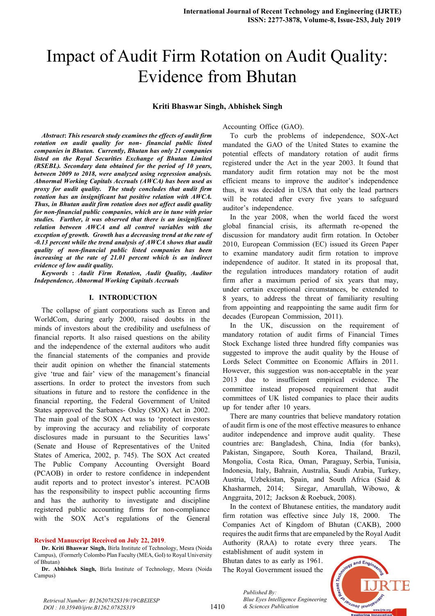# Impact of Audit Firm Rotation on Audit Quality: Evidence from Bhutan

## **Kriti Bhaswar Singh, Abhishek Singh**

*Abstract***:** *This research study examines the effects of audit firm rotation on audit quality for non- financial public listed companies in Bhutan. Currently, Bhutan has only 21 companies listed on the Royal Securities Exchange of Bhutan Limited (RSEBL). Secondary data obtained for the period of 10 years, between 2009 to 2018, were analyzed using regression analysis. Abnormal Working Capitals Accruals (AWCA) has been used as proxy for audit quality. The study concludes that audit firm rotation has an insignificant but positive relation with AWCA. Thus, in Bhutan audit firm rotation does not affect audit quality for non-financial public companies, which are in tune with prior studies. Further, it was observed that there is an insignificant relation between AWCA and all control variables with the exception of growth. Growth has a decreasing trend at the rate of -0.13 percent while the trend analysis of AWCA shows that audit quality of non-financial public listed companies has been increasing at the rate of 21.01 percent which is an indirect evidence of low audit quality.*

*Keywords* **:** *Audit Firm Rotation, Audit Quality, Auditor Independence, Abnormal Working Capitals Accruals*

#### **I. INTRODUCTION**

The collapse of giant corporations such as Enron and WorldCom, during early 2000, raised doubts in the minds of investors about the credibility and usefulness of financial reports. It also raised questions on the ability and the independence of the external auditors who audit the financial statements of the companies and provide their audit opinion on whether the financial statements give 'true and fair' view of the management's financial assertions. In order to protect the investors from such situations in future and to restore the confidence in the financial reporting, the Federal Government of United States approved the Sarbanes- Oxley (SOX) Act in 2002. The main goal of the SOX Act was to 'protect investors by improving the accuracy and reliability of corporate disclosures made in pursuant to the Securities laws' (Senate and House of Representatives of the United States of America, 2002, p. 745). The SOX Act created The Public Company Accounting Oversight Board (PCAOB) in order to restore confidence in independent audit reports and to protect investor's interest. PCAOB has the responsibility to inspect public accounting firms and has the authority to investigate and discipline registered public accounting firms for non-compliance with the SOX Act's regulations of the General

#### **Revised Manuscript Received on July 22, 2019**.

**Dr. Kriti Bhaswar Singh,** Birla Institute of Technology, Mesra (Noida Campus), (Formerly Colombo Plan Faculty (MEA, GoI) to Royal University of Bhutan)

Accounting Office (GAO).

To curb the problems of independence, SOX-Act mandated the GAO of the United States to examine the potential effects of mandatory rotation of audit firms registered under the Act in the year 2003. It found that mandatory audit firm rotation may not be the most efficient means to improve the auditor's independence thus, it was decided in USA that only the lead partners will be rotated after every five years to safeguard auditor's independence.

In the year 2008, when the world faced the worst global financial crisis, its aftermath re-opened the discussion for mandatory audit firm rotation. In October 2010, European Commission (EC) issued its Green Paper to examine mandatory audit firm rotation to improve independence of auditor. It stated in its proposal that, the regulation introduces mandatory rotation of audit firm after a maximum period of six years that may, under certain exceptional circumstances, be extended to 8 years, to address the threat of familiarity resulting from appointing and reappointing the same audit firm for decades (European Commission, 2011).

In the UK, discussion on the requirement of mandatory rotation of audit firms of Financial Times Stock Exchange listed three hundred fifty companies was suggested to improve the audit quality by the House of Lords Select Committee on Economic Affairs in 2011. However, this suggestion was non-acceptable in the year 2013 due to insufficient empirical evidence. The committee instead proposed requirement that audit committees of UK listed companies to place their audits up for tender after 10 years.

There are many countries that believe mandatory rotation of audit firm is one of the most effective measures to enhance auditor independence and improve audit quality. These countries are: Bangladesh, China, India (for banks), Pakistan, Singapore, South Korea, Thailand, Brazil, Mongolia, Costa Rica, Oman, Paraguay, Serbia, Tunisia, Indonesia, Italy, Bahrain, Australia, Saudi Arabia, Turkey, Austria, Uzbekistan, Spain, and South Africa (Said & Khasharmeh, 2014; Siregar, Amarullah, Wibowo, & Anggraita, 2012; Jackson & Roebuck, 2008).

In the context of Bhutanese entities, the mandatory audit firm rotation was effective since July 18, 2000. The Companies Act of Kingdom of Bhutan (CAKB), 2000 requires the audit firms that are empaneled by the Royal Audit Authority (RAA) to rotate every three years. The

establishment of audit system in Bhutan dates to as early as 1961. The Royal Government issued the

*& Sciences Publication* 

*Published By:*



*Retrieval Number: B12620782S319/19©BEIESP DOI : 10.35940/ijrte.B1262.0782S319*

**Dr. Abhishek Singh,** Birla Institute of Technology, Mesra (Noida Campus)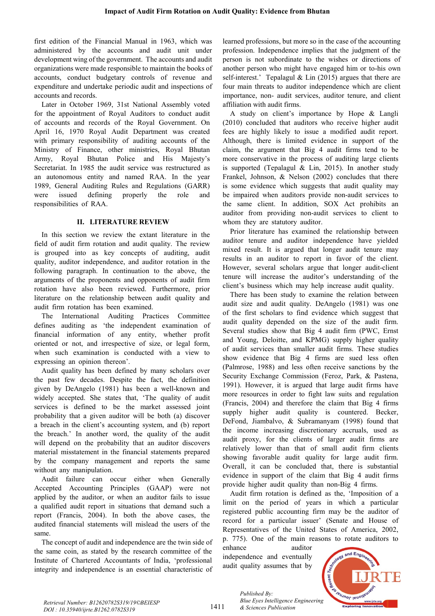first edition of the Financial Manual in 1963, which was administered by the accounts and audit unit under development wing of the government. The accounts and audit organizations were made responsible to maintain the books of accounts, conduct budgetary controls of revenue and expenditure and undertake periodic audit and inspections of accounts and records.

Later in October 1969, 31st National Assembly voted for the appointment of Royal Auditors to conduct audit of accounts and records of the Royal Government. On April 16, 1970 Royal Audit Department was created with primary responsibility of auditing accounts of the Ministry of Finance, other ministries, Royal Bhutan Army, Royal Bhutan Police and His Majesty's Secretariat. In 1985 the audit service was restructured as an autonomous entity and named RAA. In the year 1989, General Auditing Rules and Regulations (GARR) were issued defining properly the role and responsibilities of RAA.

# **II. LITERATURE REVIEW**

In this section we review the extant literature in the field of audit firm rotation and audit quality. The review is grouped into as key concepts of auditing, audit quality, auditor independence, and auditor rotation in the following paragraph. In continuation to the above, the arguments of the proponents and opponents of audit firm rotation have also been reviewed. Furthermore, prior literature on the relationship between audit quality and audit firm rotation has been examined.

The International Auditing Practices Committee defines auditing as 'the independent examination of financial information of any entity, whether profit oriented or not, and irrespective of size, or legal form, when such examination is conducted with a view to expressing an opinion thereon'.

Audit quality has been defined by many scholars over the past few decades. Despite the fact, the definition given by DeAngelo (1981) has been a well-known and widely accepted. She states that, 'The quality of audit services is defined to be the market assessed joint probability that a given auditor will be both (a) discover a breach in the client's accounting system, and (b) report the breach.' In another word, the quality of the audit will depend on the probability that an auditor discovers material misstatement in the financial statements prepared by the company management and reports the same without any manipulation.

Audit failure can occur either when Generally Accepted Accounting Principles (GAAP) were not applied by the auditor, or when an auditor fails to issue a qualified audit report in situations that demand such a report (Francis,  $2004$ ). In both the above cases, the audited financial statements will mislead the users of the same.

The concept of audit and independence are the twin side of the same coin, as stated by the research committee of the Institute of Chartered Accountants of India, 'professional integrity and independence is an essential characteristic of learned professions, but more so in the case of the accounting profession. Independence implies that the judgment of the person is not subordinate to the wishes or directions of another person who might have engaged him or to-his own self-interest.' Tepalagul & Lin (2015) argues that there are four main threats to auditor independence which are client importance, non- audit services, auditor tenure, and client affiliation with audit firms.

A study on client's importance by Hope  $&$  Langli  $(2010)$  concluded that auditors who receive higher audit fees are highly likely to issue a modified audit report. Although, there is limited evidence in support of the claim, the argument that Big 4 audit firms tend to be more conservative in the process of auditing large clients is supported (Tepalagul & Lin, 2015). In another study Frankel, Johnson,  $\&$  Nelson (2002) concludes that there is some evidence which suggests that audit quality may be impaired when auditors provide non-audit services to the same client. In addition, SOX Act prohibits an auditor from providing non-audit services to client to whom they are statutory auditor.

Prior literature has examined the relationship between auditor tenure and auditor independence have vielded mixed result. It is argued that longer audit tenure may results in an auditor to report in favor of the client. However, several scholars argue that longer audit-client tenure will increase the auditor's understanding of the client's business which may help increase audit quality.

There has been study to examine the relation between audit size and audit quality. DeAngelo (1981) was one of the first scholars to find evidence which suggest that audit quality depended on the size of the audit firm. Several studies show that Big 4 audit firm (PWC, Ernst and Young, Deloitte, and KPMG) supply higher quality of audit services than smaller audit firms. These studies show evidence that Big 4 firms are sued less often (Palmrose, 1988) and less often receive sanctions by the Security Exchange Commission (Feroz, Park, & Pastena, 1991). However, it is argued that large audit firms have more resources in order to fight law suits and regulation (Francis,  $2004$ ) and therefore the claim that Big 4 firms supply higher audit quality is countered. Becker, DeFond, Jiambalvo,  $\&$  Subramanyam (1998) found that the income increasing discretionary accruals, used as audit proxy, for the clients of larger audit firms are relatively lower than that of small audit firm clients showing favorable audit quality for large audit firm. Overall, it can be concluded that, there is substantial evidence in support of the claim that Big 4 audit firms provide higher audit quality than non-Big 4 firms.

Audit firm rotation is defined as the, 'Imposition of a limit on the period of years in which a particular registered public accounting firm may be the auditor of record for a particular issuer' (Senate and House of Representatives of the United States of America, 2002, p. 775). One of the main reasons to rotate auditors to

enhance auditor independence and eventually audit quality assumes that by

*& Sciences Publication* 

*Published By:*



1411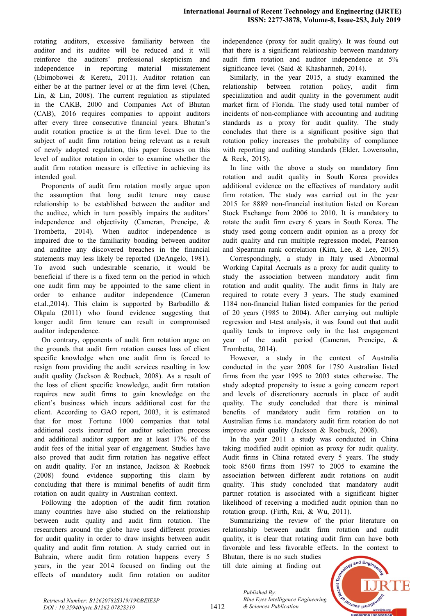rotating auditors, excessive familiarity between the auditor and its auditee will be reduced and it will reinforce the auditors' professional skepticism and independence in reporting material misstatement (Ebimobowei & Keretu, 2011). Auditor rotation can either be at the partner level or at the firm level (Chen, Lin, & Lin, 2008). The current regulation as stipulated in the CAKB, 2000 and Companies Act of Bhutan  $(CAB)$ ,  $2016$  requires companies to appoint auditors after every three consecutive financial years. Bhutan's audit rotation practice is at the firm level. Due to the subject of audit firm rotation being relevant as a result of newly adopted regulation, this paper focuses on this level of auditor rotation in order to examine whether the audit firm rotation measure is effective in achieving its intended goal.

Proponents of audit firm rotation mostly argue upon the assumption that long audit tenure may cause relationship to be established between the auditor and the auditee, which in turn possibly impairs the auditors' independence and objectivity (Cameran, Prencipe,  $\&$ Trombetta, 2014). When auditor independence is impaired due to the familiarity bonding between auditor and auditee any discovered breaches in the financial statements may less likely be reported (DeAngelo, 1981). To avoid such undesirable scenario, it would be beneficial if there is a fixed term on the period in which one audit firm may be appointed to the same client in order to enhance auditor independence (Cameran et.al.,2014). This claim is supported by Barbadillo  $\&$ Okpala  $(2011)$  who found evidence suggesting that longer audit firm tenure can result in compromised auditor independence.

On contrary, opponents of audit firm rotation argue on the grounds that audit firm rotation causes loss of client specific knowledge when one audit firm is forced to resign from providing the audit services resulting in low audit quality (Jackson & Roebuck, 2008). As a result of the loss of client specific knowledge, audit firm rotation requires new audit firms to gain knowledge on the client's business which incurs additional cost for the client. According to GAO report, 2003, it is estimated that for most Fortune 1000 companies that total additional costs incurred for auditor selection process and additional auditor support are at least  $17\%$  of the audit fees of the initial year of engagement. Studies have also proved that audit firm rotation has negative effect on audit quality. For an instance, Jackson  $\&$  Roebuck  $(2008)$  found evidence supporting this claim by concluding that there is minimal benefits of audit firm rotation on audit quality in Australian context.

Following the adoption of the audit firm rotation many countries have also studied on the relationship between audit quality and audit firm rotation. The researchers around the globe have used different proxies for audit quality in order to draw insights between audit quality and audit firm rotation. A study carried out in Bahrain, where audit firm rotation happens every 5 years, in the year 2014 focused on finding out the effects of mandatory audit firm rotation on auditor

independence (proxy for audit quality). It was found out that there is a significant relationship between mandatory audit firm rotation and auditor independence at  $5%$ significance level (Said & Khasharmeh, 2014).

Similarly, in the year 2015, a study examined the relationship between rotation policy, audit firm specialization and audit quality in the government audit market firm of Florida. The study used total number of incidents of non-compliance with accounting and auditing standards as a proxy for audit quality. The study concludes that there is a significant positive sign that rotation policy increases the probability of compliance with reporting and auditing standards (Elder, Lowensohn, & Reck, 2015).

In line with the above a study on mandatory firm rotation and audit quality in South Korea provides additional evidence on the effectives of mandatory audit firm rotation. The study was carried out in the year 2015 for 8889 non-financial institution listed on Korean Stock Exchange from  $2006$  to  $2010$ . It is mandatory to rotate the audit firm every 6 years in South Korea. The study used going concern audit opinion as a proxy for audit quality and run multiple regression model, Pearson and Spearman rank correlation (Kim, Lee, & Lee, 2015).

Correspondingly, a study in Italy used Abnormal Working Capital Accruals as a proxy for audit quality to study the association between mandatory audit firm rotation and audit quality. The audit firms in Italy are required to rotate every 3 years. The study examined 1184 non-financial Italian listed companies for the period of 20 years (1985 to 2004). After carrying out multiple regression and t-test analysis, it was found out that audit quality tends to improve only in the last engagement year of the audit period (Cameran, Prencipe,  $\&$ Trombetta, 2014).

However, a study in the context of Australia conducted in the year 2008 for 1750 Australian listed firms from the year  $1995$  to  $2003$  states otherwise. The study adopted propensity to issue a going concern report and levels of discretionary accruals in place of audit quality. The study concluded that there is minimal benefits of mandatory audit firm rotation on to Australian firms i.e. mandatory audit firm rotation do not improve audit quality (Jackson & Roebuck,  $2008$ ).

In the year  $2011$  a study was conducted in China taking modified audit opinion as proxy for audit quality. Audit firms in China rotated every 5 years. The study took  $8560$  firms from  $1997$  to  $2005$  to examine the association between different audit rotations on audit quality. This study concluded that mandatory audit partner rotation is associated with a significant higher likelihood of receiving a modified audit opinion than no rotation group. (Firth, Rui, & Wu, 2011).

Summarizing the review of the prior literature on relationship between audit firm rotation and audit quality, it is clear that rotating audit firm can have both favorable and less favorable effects. In the context to

Bhutan, there is no such studies till date aiming at finding out

*& Sciences Publication* 

*Blue Eyes Intelligence Engineering* 

*Published By:*



1412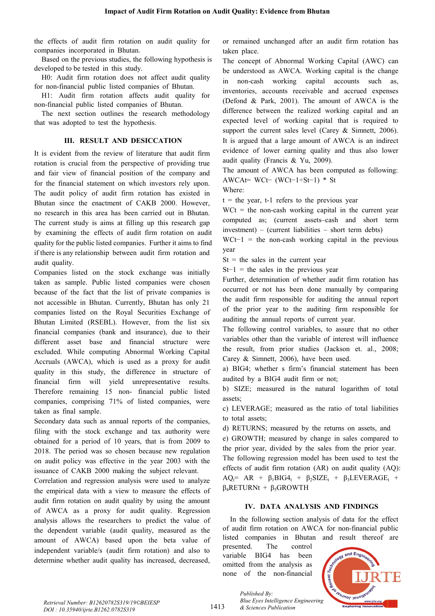the effects of audit firm rotation on audit quality for companies incorporated in Bhutan.

Based on the previous studies, the following hypothesis is developed to be tested in this study.

H0: Audit firm rotation does not affect audit quality for non-financial public listed companies of Bhutan.

H1: Audit firm rotation affects audit quality for non-financial public listed companies of Bhutan.

The next section outlines the research methodology that was adopted to test the hypothesis.

# **III. RESULT** AND **DESICCATION**

It is evident from the review of literature that audit firm rotation is crucial from the perspective of providing true and fair view of financial position of the company and for the financial statement on which investors rely upon. The audit policy of audit firm rotation has existed in Bhutan since the enactment of CAKB 2000. However, no research in this area has been carried out in Bhutan. The current study is aims at filling up this research gap by examining the effects of audit firm rotation on audit quality for the public listed companies. Further it aims to find if there is any relationship between audit firm rotation and audit quality.

Companies listed on the stock exchange was initially taken as sample. Public listed companies were chosen because of the fact that the list of private companies is not accessible in Bhutan. Currently, Bhutan has only 21 companies listed on the Royal Securities Exchange of Bhutan Limited (RSEBL). However, from the list six financial companies (bank and insurance), due to their different asset base and financial structure were excluded. While computing Abnormal Working Capital Accruals (AWCA), which is used as a proxy for audit quality in this study, the difference in structure of financial firm will yield unrepresentative results. Therefore remaining 15 non- financial public listed companies, comprising 71% of listed companies, were taken as final sample.

Secondary data such as annual reports of the companies, filing with the stock exchange and tax authority were obtained for a period of 10 years, that is from 2009 to  $2018$ . The period was so chosen because new regulation on audit policy was effective in the year 2003 with the issuance of CAKB 2000 making the subject relevant.

Correlation and regression analysis were used to analyze the empirical data with a view to measure the effects of audit firm rotation on audit quality by using the amount of AWCA as a proxy for audit quality. Regression analysis allows the researchers to predict the value of the dependent variable (audit quality, measured as the amount of AWCA) based upon the beta value of independent variable/s (audit firm rotation) and also to determine whether audit quality has increased, decreased,

or remained unchanged after an audit firm rotation has taken place.

The concept of Abnormal Working Capital (AWC) can be understood as AWCA. Working capital is the change in non-cash working capital accounts such as, inventories, accounts receivable and accrued expenses (Defond & Park, 2001). The amount of AWCA is the difference between the realized working capital and an expected level of working capital that is required to support the current sales level (Carey & Simnett, 2006). It is argued that a large amount of AWCA is an indirect evidence of lower earning quality and thus also lower audit quality (Francis & Yu, 2009).

The amount of AWCA has been computed as following: AWCAt= WCt− (WCt−1÷St−1) \* St

Where:

 $t =$  the year, t-1 refers to the previous year

 $WCt =$  the non-cash working capital in the current year computed as; (current assets–cash and short term  $investment$  – (current liabilities – short term debts)

 $WCt-1$  = the non-cash working capital in the previous year

 $St = the sales in the current year$ 

 $St-1$  = the sales in the previous year

Further, determination of whether audit firm rotation has occurred or not has been done manually by comparing the audit firm responsible for auditing the annual report of the prior year to the auditing firm responsible for auditing the annual reports of current year.

The following control variables, to assure that no other variables other than the variable of interest will influence the result, from prior studies (Jackson et. al., 2008; Carey & Simnett,  $2006$ ), have been used.

a) BIG4; whether s firm's financial statement has been audited by a BIG4 audit firm or not;

b) SIZE; measured in the natural logarithm of total assets;

c) LEVERAGE; measured as the ratio of total liabilities to total assets;

d) RETURNS; measured by the returns on assets, and e) GROWTH; measured by change in sales compared to the prior year, divided by the sales from the prior year. The following regression model has been used to test the effects of audit firm rotation (AR) on audit quality (AQ):  $AQ_t = AR + \beta_1 BIG4_t + \beta_2 SIZE_t + \beta_3 LEVERAGE_t +$  $β$ <sub>4</sub>RETURNt +  $β$ <sub>5</sub>GROWTH

## **IV.** DATA ANALYSIS AND FINDINGS

In the following section analysis of data for the effect of audit firm rotation on AWCA for non-financial public listed companies in Bhutan and result thereof are

presented. The control variable BIG4 has been omitted from the analysis as none of the non-financial



*Retrieval Number: B12620782S319/19©BEIESP DOI : 10.35940/ijrte.B1262.0782S319*

1413

*Published By: Blue Eyes Intelligence Engineering & Sciences Publication*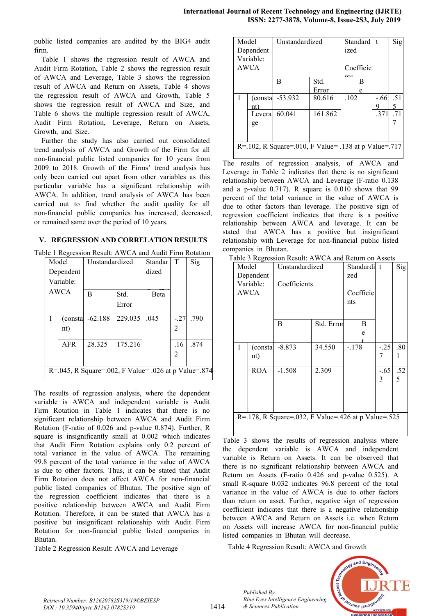public listed companies are audited by the BIG4 audit firm.

Table 1 shows the regression result of AWCA and Audit Firm Rotation, Table 2 shows the regression result of AWCA and Leverage, Table 3 shows the regression result of AWCA and Return on Assets, Table 4 shows the regression result of AWCA and Growth, Table 5 shows the regression result of AWCA and Size, and Table 6 shows the multiple regression result of AWCA, Audit Firm Rotation, Leverage, Return on Assets, Growth, and Size.

Further the study has also carried out consolidated trend analysis of AWCA and Growth of the Firm for all non-financial public listed companies for 10 years from  $2009$  to  $2018$ . Growth of the Firms' trend analysis has only been carried out apart from other variables as this particular variable has a significant relationship with AWCA. In addition, trend analysis of AWCA has been carried out to find whether the audit quality for all non-financial public companies has increased, decreased, or remained same over the period of 10 years.

## **V. REGRESSION AND CORRELATION RESULTS**

Table 1 Regression Result: AWCA and Audit Firm Rotation

| . <u>.</u> |                                                      |                |         |              |                |      |  |  |
|------------|------------------------------------------------------|----------------|---------|--------------|----------------|------|--|--|
|            | Model                                                | Unstandardized |         | Standar      | T              | Sig  |  |  |
|            | Dependent                                            |                |         | dized        |                |      |  |  |
|            | Variable:                                            |                |         |              |                |      |  |  |
| AWCA       |                                                      | B              | Std.    | <b>B</b> eta |                |      |  |  |
|            |                                                      |                | Error   |              |                |      |  |  |
|            | (consta                                              | $-62.188$      | 229.035 | .045         | $-.27$         | .790 |  |  |
|            | nt)                                                  |                |         |              | $\mathfrak{D}$ |      |  |  |
|            | <b>AFR</b>                                           | 28.325         | 175.216 |              | .16            | .874 |  |  |
|            |                                                      |                |         |              | $\mathfrak{D}$ |      |  |  |
|            |                                                      |                |         |              |                |      |  |  |
|            | R=.045, R Square=.002, F Value= .026 at p Value=.874 |                |         |              |                |      |  |  |

The results of regression analysis, where the dependent variable is AWCA and independent variable is Audit Firm Rotation in Table 1 indicates that there is no significant relationship between AWCA and Audit Firm Rotation (F-ratio of  $0.026$  and p-value 0.874). Further, R square is insignificantly small at  $0.002$  which indicates that Audit Firm Rotation explains only 0.2 percent of total variance in the value of AWCA. The remaining 99.8 percent of the total variance in the value of AWCA is due to other factors. Thus, it can be stated that Audit Firm Rotation does not affect AWCA for non-financial public listed companies of Bhutan. The positive sign of the regression coefficient indicates that there is a positive relationship between AWCA and Audit Firm Rotation. Therefore, it can be stated that AWCA has a positive but insignificant relationship with Audit Firm Rotation for non-financial public listed companies in Bhutan.

Table 2 Regression Result: AWCA and Leverage

| Model | Dependent<br>Variable:<br>AWCA                       | Unstandardized   |         | Standard<br>ized<br>Coefficie | t      | Sig |  |  |
|-------|------------------------------------------------------|------------------|---------|-------------------------------|--------|-----|--|--|
|       |                                                      |                  |         |                               |        |     |  |  |
|       |                                                      | B                | Std.    | $n \nmid c$<br>B              |        |     |  |  |
|       |                                                      |                  | Error   | e                             |        |     |  |  |
|       |                                                      | (consta -53.932) | 80.616  | .102                          | $-.66$ | .51 |  |  |
|       | nt)                                                  |                  |         |                               | Q,     | 5   |  |  |
|       | Levera                                               | 60.041           | 161.862 |                               | .371   | .71 |  |  |
|       | ge                                                   |                  |         |                               |        |     |  |  |
|       |                                                      |                  |         |                               |        |     |  |  |
|       |                                                      |                  |         |                               |        |     |  |  |
|       | R=.102, R Square=.010, F Value= .138 at p Value=.717 |                  |         |                               |        |     |  |  |

The results of regression analysis, of AWCA and Leverage in Table 2 indicates that there is no significant relationship between AWCA and Leverage (F-ratio 0.138 and a p-value  $0.717$ ). R square is  $0.010$  shows that 99 percent of the total variance in the value of AWCA is due to other factors than leverage. The positive sign of regression coefficient indicates that there is a positive relationship between AWCA and leverage. It can be stated that AWCA has a positive but insignificant relationship with Leverage for non-financial public listed companies in Bhutan.

Table 3 Regression Result: AWCA and Return on Assets

| Table 5 Regression Result: AWCA and Return on Assets |            |                |            |             |       |     |  |
|------------------------------------------------------|------------|----------------|------------|-------------|-------|-----|--|
| Model                                                |            | Unstandardized |            | Standardi t |       | Sig |  |
| Dependent                                            |            |                |            | zed         |       |     |  |
|                                                      | Variable:  | Coefficients   |            |             |       |     |  |
|                                                      | AWCA       |                |            | Coefficie   |       |     |  |
|                                                      |            |                |            | nts         |       |     |  |
|                                                      |            |                |            |             |       |     |  |
|                                                      |            | B              |            |             |       |     |  |
|                                                      |            |                | Std. Error | B           |       |     |  |
|                                                      |            |                |            | e           |       |     |  |
| 1                                                    | (consta    | $-8.873$       | 34.550     | $-.178$     | $-25$ | .80 |  |
|                                                      | nt)        |                |            |             | 7     |     |  |
|                                                      | <b>ROA</b> | $-1.508$       | 2.309      |             | -.65  | .52 |  |
|                                                      |            |                |            |             | 3     | 5   |  |
|                                                      |            |                |            |             |       |     |  |
|                                                      |            |                |            |             |       |     |  |
|                                                      |            |                |            |             |       |     |  |
| R=.178, R Square=.032, F Value=.426 at p Value=.525  |            |                |            |             |       |     |  |
|                                                      |            |                |            |             |       |     |  |
|                                                      |            |                |            |             |       |     |  |

Table 3 shows the results of regression analysis where the dependent variable is AWCA and independent variable is Return on Assets. It can be observed that there is no significant relationship between AWCA and Return on Assets (F-ratio  $0.426$  and p-value 0.525). A small R-square 0.032 indicates 96.8 percent of the total variance in the value of AWCA is due to other factors than return on asset. Further, negative sign of regression coefficient indicates that there is a negative relationship between AWCA and Return on Assets i.e. when Return on Assets will increase AWCA for non-financial public listed companies in Bhutan will decrease.

Table 4 Regression Result: AWCA and Growth

*Blue Eyes Intelligence Engineering* 

*Published By:*

*& Sciences Publication* 



*Retrieval Number: B12620782S319/19©BEIESP DOI : 10.35940/ijrte.B1262.0782S319*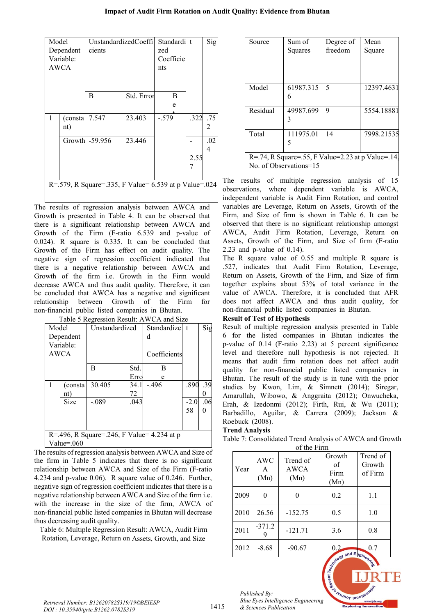#### **Impact of Audit Firm Rotation on Audit Quality: Evidence from Bhutan**

| Model     |                                                       | UnstandardizedCoeffil |            | Standardi t |      | Sig |  |  |  |
|-----------|-------------------------------------------------------|-----------------------|------------|-------------|------|-----|--|--|--|
| Dependent |                                                       | cients                |            | zed         |      |     |  |  |  |
|           | Variable:                                             |                       |            | Coefficie   |      |     |  |  |  |
|           | AWCA                                                  |                       |            | nts         |      |     |  |  |  |
|           |                                                       |                       |            |             |      |     |  |  |  |
|           |                                                       |                       |            |             |      |     |  |  |  |
|           |                                                       | B                     | Std. Error | B           |      |     |  |  |  |
|           |                                                       |                       |            | e           |      |     |  |  |  |
| 1         | (consta                                               | 7.547                 | 23.403     | $-.579$     | .322 | .75 |  |  |  |
|           | nt)                                                   |                       |            |             |      | 2   |  |  |  |
|           |                                                       | Growth -59.956        | 23.446     |             |      | .02 |  |  |  |
|           |                                                       |                       |            |             |      | 4   |  |  |  |
|           |                                                       |                       |            |             | 2.55 |     |  |  |  |
|           |                                                       |                       |            |             |      |     |  |  |  |
|           |                                                       |                       |            |             |      |     |  |  |  |
|           | R=.579, R Square=.335, F Value= 6.539 at p Value=.024 |                       |            |             |      |     |  |  |  |
|           |                                                       |                       |            |             |      |     |  |  |  |

The results of regression analysis between AWCA and Growth is presented in Table 4. It can be observed that there is a significant relationship between AWCA and Growth of the Firm (F-ratio  $6.539$  and p-value of 0.024). R square is  $0.335$ . It can be concluded that Growth of the Firm has effect on audit quality. The negative sign of regression coefficient indicated that there is a negative relationship between AWCA and Growth of the firm i.e. Growth in the Firm would decrease AWCA and thus audit quality. Therefore, it can be concluded that AWCA has a negative and significant relationship between Growth of the Firm for non-financial public listed companies in Bhutan.

|       | Table 5 Regression Result: AWCA and Size   |                |      |              |        |     |  |
|-------|--------------------------------------------|----------------|------|--------------|--------|-----|--|
| Model |                                            | Unstandardized |      | Standardizel | $-t$   | Sig |  |
|       | Dependent                                  |                |      | d            |        |     |  |
|       | Variable:                                  |                |      |              |        |     |  |
|       | AWCA                                       |                |      | Coefficients |        |     |  |
|       |                                            |                |      |              |        |     |  |
|       |                                            | B              | Std. | В            |        |     |  |
|       |                                            |                | Erro | e            |        |     |  |
|       | (consta                                    | 30.405         | 34.1 | -.496        | .890   | .39 |  |
|       | nt)                                        |                | 72   |              |        |     |  |
|       | <b>Size</b>                                | $-.089$        | .043 |              | $-2.0$ | .06 |  |
|       |                                            |                |      |              | 58     |     |  |
|       |                                            |                |      |              |        |     |  |
|       |                                            |                |      |              |        |     |  |
|       | R=.496, R Square=.246, F Value= 4.234 at p |                |      |              |        |     |  |
|       | Value= $.060$                              |                |      |              |        |     |  |

The results of regression analysis between AWCA and Size of the firm in Table 5 indicates that there is no significant relationship between AWCA and Size of the Firm (F-ratio 4.234 and p-value 0.06). R square value of 0.246. Further, negative sign of regression coefficient indicates that there is a negative relationship between AWCA and Size of the firm i.e. with the increase in the size of the firm, AWCA of non-financial public listed companies in Bhutan will decrease thus decreasing audit quality.

Table 6: Multiple Regression Result: AWCA, Audit Firm Rotation, Leverage, Return on Assets, Growth, and Size

| Source                                                                      | Sum of<br>Squares | Degree of<br>freedom | Mean<br>Square |  |  |
|-----------------------------------------------------------------------------|-------------------|----------------------|----------------|--|--|
| Model                                                                       | 61987.315         | 5                    | 12397.4631     |  |  |
| Residual                                                                    | 49987.699<br>3    | 9                    | 5554.18881     |  |  |
| Total                                                                       | 111975.01<br>5    | 14                   | 7998.21535     |  |  |
| R=.74, R Square=.55, F Value=2.23 at p Value=.14,<br>No. of Observations=15 |                   |                      |                |  |  |

The results of multiple regression analysis of 15 observations, where dependent variable is AWCA, independent variable is Audit Firm Rotation, and control variables are Leverage, Return on Assets, Growth of the Firm, and Size of firm is shown in Table 6. It can be observed that there is no significant relationship amongst AWCA, Audit Firm Rotation, Leverage, Return on Assets, Growth of the Firm, and Size of firm (F-ratio 2.23 and p-value of  $0.14$ ).

The R square value of  $0.55$  and multiple R square is .527, indicates that Audit Firm Rotation, Leverage, Return on Assets, Growth of the Firm, and Size of firm together explains about 53% of total variance in the value of AWCA. Therefore, it is concluded that AFR does not affect AWCA and thus audit quality, for non-financial public listed companies in Bhutan.

# **Result of Test of Hypothesis**

Result of multiple regression analysis presented in Table  $6$  for the listed companies in Bhutan indicates the p-value of  $0.14$  (F-ratio 2.23) at 5 percent significance level and therefore null hypothesis is not rejected. It means that audit firm rotation does not affect audit quality for non-financial public listed companies in Bhutan. The result of the study is in tune with the prior studies by Kwon, Lim, & Simnett (2014); Siregar, Amarullah, Wibowo, & Anggraita (2012); Onwucheka, Erah, & Izedonmi (2012); Firth, Rui, & Wu (2011); Barbadillo, Aguilar, & Carrera (2009); Jackson & Roebuck (2008).

# **Trend Analysis**

Table 7: Consolidated Trend Analysis of AWCA and Growth of the Firm

| Year | <b>AWC</b><br>A<br>(Mn) | Trend of<br>AWCA<br>(Mn) | Growth<br>of<br>Firm<br>(Mn) | Trend of<br>Growth<br>of Firm |
|------|-------------------------|--------------------------|------------------------------|-------------------------------|
| 2009 |                         |                          | 0.2                          | 1.1                           |
| 2010 | 26.56                   | $-152.75$                | 0.5                          | 1.0                           |
| 2011 | $-371.2$                | $-121.71$                | 3.6                          | 0.8                           |
| 2012 | $-8.68$                 | $-90.67$                 | and Engin                    | 0.7                           |

*Retrieval Number: B12620782S319/19©BEIESP DOI : 10.35940/ijrte.B1262.0782S319*

*Published By: Blue Eyes Intelligence Engineering & Sciences Publication*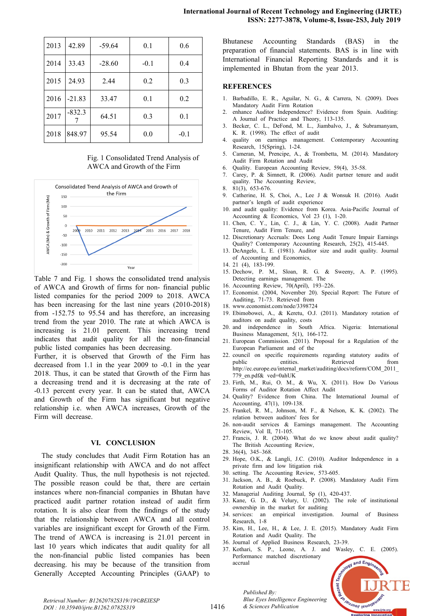| 2013 | 42.89    | $-59.64$ | 0.1    | 0.6    |
|------|----------|----------|--------|--------|
| 2014 | 33.43    | $-28.60$ | $-0.1$ | 0.4    |
| 2015 | 24.93    | 2.44     | 0.2    | 0.3    |
| 2016 | $-21.83$ | 33.47    | 0.1    | 0.2    |
| 2017 | $-832.3$ | 64.51    | 0.3    | 0.1    |
| 2018 | 848.97   | 95.54    | 0.0    | $-0.1$ |

Fig. 1 Consolidated Trend Analysis of AWCA and Growth of the Firm



Table 7 and Fig. 1 shows the consolidated trend analysis of AWCA and Growth of firms for non-financial public listed companies for the period 2009 to 2018. AWCA has been increasing for the last nine years  $(2010-2018)$ from  $-152.75$  to 95.54 and has therefore, an increasing trend from the year 2010. The rate at which AWCA is increasing is 21.01 percent. This increasing trend indicates that audit quality for all the non-financial public listed companies has been decreasing.

Further, it is observed that Growth of the Firm has decreased from  $1.1$  in the year  $2009$  to  $-0.1$  in the year 2018. Thus, it can be stated that Growth of the Firm has a decreasing trend and it is decreasing at the rate of -0.13 percent every year. It can be stated that, AWCA and Growth of the Firm has significant but negative relationship i.e. when AWCA increases, Growth of the Firm will decrease.

#### **VI. CONCLUSION**

The study concludes that Audit Firm Rotation has an insignificant relationship with AWCA and do not affect Audit Quality. Thus, the null hypothesis is not rejected. The possible reason could be that, there are certain instances where non-financial companies in Bhutan have practiced audit partner rotation instead of audit firm rotation. It is also clear from the findings of the study that the relationship between AWCA and all control variables are insignificant except for Growth of the Firm. The trend of AWCA is increasing is  $21.01$  percent in last 10 years which indicates that audit quality for all the non-financial public listed companies has been decreasing. his may be because of the transition from Generally Accepted Accounting Principles (GAAP) to

Bhutanese Accounting Standards (BAS) in the preparation of financial statements. BAS is in line with International Financial Reporting Standards and it is implemented in Bhutan from the year 2013.

#### **REFERENCES**

- 1. Barbadillo, E. R., Aguilar, N. G., & Carrera, N. (2009). Does Mandatory Audit Firm Rotation
- 2. enhance Auditor Independence? Evidence from Spain. Auditing: A Journal of Practice and Theory, 113-135.
- 3. Becker, C. L., DeFond, M. L., Jiambalvo, J., & Subramanyam, K. R. (1998). The effect of audit
- 4. quality on earnings management. Contemporary Accounting Research, 15(Spring), 1-24.
- 5. Cameran, M, Prencipe, A., & Trombetta, M. (2014). Mandatory Audit Firm Rotation and Audit
- Quality. European Accounting Review, 59(4), 35-58.
- 7. Carey, P. & Simnett, R. (2006). Audit partner tenure and audit quality. The Accounting Review, 8. 81(3), 653-676.
- 9. Catherine, H. S, Choi, A., Lee J & Wonsuk H. (2016). Audit partner's length of audit experience
- 10. and audit quality: Evidence from Korea. Asia-Pacific Journal of Accounting & Economics, Vol 23 (1), 1-20.
- 11. Chen, C. Y., Lin, C. J., & Lin, Y. C. (2008). Audit Partner Tenure, Audit Firm Tenure, and
- 12. Discretionary Accruals: Does Long Audit Tenure Impair Earnings Quality? Contemporary Accounting Research, 25(2), 415-445.
- 13. DeAngelo, L. E. (1981). Auditor size and audit quality. Journal of Accounting and Economics,
- 14. 21 (4), 183-199.
- 15. Dechow, P. M., Sloan, R. G. & Sweeny, A. P. (1995). Detecting earnings management. The
- 16. Accounting Review,  $70(April)$ ,  $193–226$ .
- 17. Economist. (2004, November 20). Special Report: The Future of Auditing, 71-73. Retrieved from
- 18. www.economist.com/node/3398724
- 19. Ebimobowei, A., & Keretu, O.J. (2011). Mandatory rotation of auditors on audit quality, costs
- 20. and independence in South Africa. Nigeria: International Business Management,  $5(1)$ , 166-172.
- 21. European Commission.  $(2011)$ . Proposal for a Regulation of the European Parliament and of the
- 22. council on specific requirements regarding statutory audits of public entities. Retrieved from http://ec.europe.eu/internal\_market/auditing/docs/reform/COM\_2011\_ 779 en.pdf& ved=0ahUK
- 23. Firth, M., Rui, O. M., & Wu, X. (2011). How Do Various Forms of Auditor Rotation Affect Audit
- 24. Quality? Evidence from China. The International Journal of Accounting, 47(1), 109-138.
- 25. Frankel, R. M., Johnson, M. F., & Nelson, K. K. (2002). The relation between auditors' fees for
- 26. non-audit services  $\&$  Earnings management. The Accounting Review, Vol II, 71-105.
- 27. Francis, J. R. (2004). What do we know about audit quality? The British Accounting Review,
- $28.36(4)$ ,  $345-368$ .
- 29. Hope, O.K., & Langli, J.C. (2010). Auditor Independence in a private firm and low litigation risk
- 30. setting. The Accounting Review, 573-605.
- 31. Jackson, A. B., & Roebuck, P. (2008). Mandatory Audit Firm Rotation and Audit Quality.
- 32. Managerial Auditing Journal, Sp (1), 420-437.
- 33. Kane, G. D., & Velury, U.  $(2002)$ . The role of institutional ownership in the market for auditing
- 34. services: an empirical investigation. Journal of Business Research, 1-8
- 35. Kim, H., Lee, H., & Lee, J. E. (2015). Mandatory Audit Firm Rotation and Audit Quality. The
- 36. Journal of Applied Business Research, 23-39.
- 37. Kothari, S. P., Leone, A. J. and Wasley, C. E. (2005). Performance matched discretionary accrual



*Retrieval Number: B12620782S319/19©BEIESP DOI : 10.35940/ijrte.B1262.0782S319*

*Published By: Blue Eyes Intelligence Engineering & Sciences Publication*